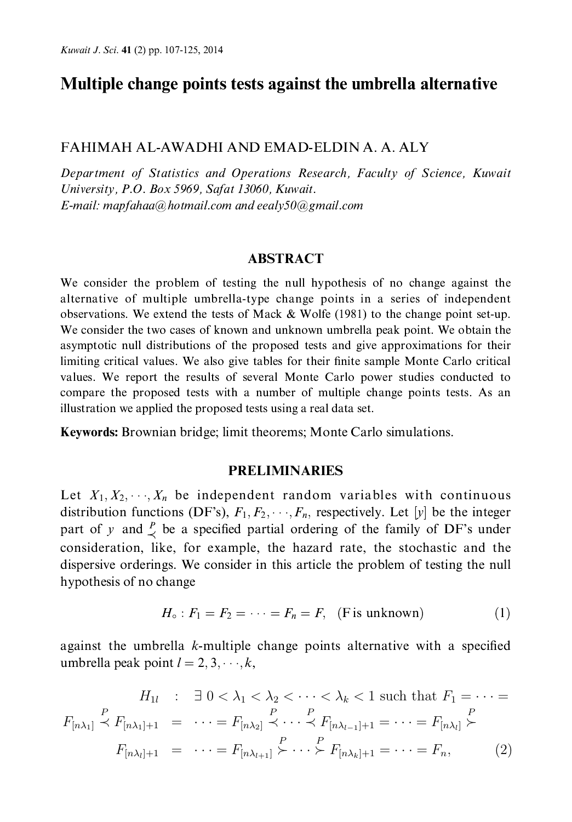# Multiple change points tests against the umbrella alternative

#### FAHIMAH AL-AWADHI AND EMAD-ELDIN A. A. ALY

Department of Statistics and Operations Research, Faculty of Science, Kuwait University, P.O. Box 5969, Safat 13060, Kuwait. E-mail: mapfahaa@hotmail.com and eealy50@gmail.com

#### **ABSTRACT**

We consider the problem of testing the null hypothesis of no change against the alternative of multiple umbrella-type change points in a series of independent observations. We extend the tests of Mack & Wolfe (1981) to the change point set-up. We consider the two cases of known and unknown umbrella peak point. We obtain the asymptotic null distributions of the proposed tests and give approximations for their limiting critical values. We also give tables for their finite sample Monte Carlo critical values. We report the results of several Monte Carlo power studies conducted to compare the proposed tests with a number of multiple change points tests. As an illustration we applied the proposed tests using a real data set.

Keywords: Brownian bridge; limit theorems; Monte Carlo simulations.

#### **PRELIMINARIES**

Let  $X_1, X_2, \dots, X_n$  be independent random variables with continuous distribution functions (DF's),  $F_1, F_2, \dots, F_n$ , respectively. Let [y] be the integer part of y and  $\frac{p}{\leq}$  be a specified partial ordering of the family of DF's under consideration, like, for example, the hazard rate, the stochastic and the dispersive orderings. We consider in this article the problem of testing the null hypothesis of no change

$$
H_{\circ}: F_1 = F_2 = \cdots = F_n = F, \quad \text{(F is unknown)} \tag{1}
$$

against the umbrella  $k$ -multiple change points alternative with a specified umbrella peak point  $l = 2, 3, \dots, k$ ,

$$
H_{1l} : \exists 0 < \lambda_1 < \lambda_2 < \cdots < \lambda_k < 1 \text{ such that } F_1 = \cdots =
$$
  

$$
F_{[n\lambda_1]} \stackrel{P}{\prec} F_{[n\lambda_1]+1} = \cdots = F_{[n\lambda_2]} \stackrel{P}{\prec} \cdots \stackrel{P}{\prec} F_{[n\lambda_{l-1}]+1} = \cdots = F_{[n\lambda_l]} \stackrel{P}{\succ} F_{[n\lambda_l]+1} = \cdots = F_{[n\lambda_l]+1} \stackrel{P}{\succ} \cdots \stackrel{P}{\succ} F_{[n\lambda_k]+1} = \cdots = F_n, \tag{2}
$$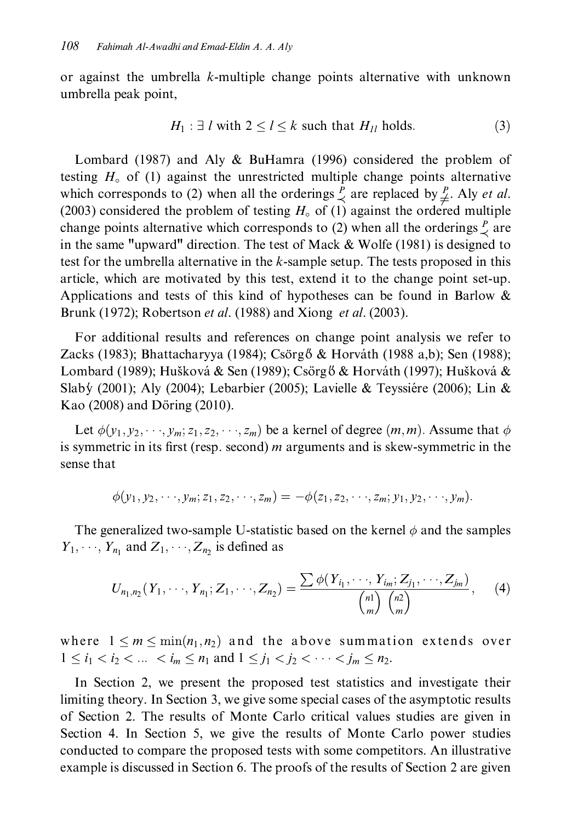or against the umbrella k-multiple change points alternative with unknown umbrella peak point,

$$
H_1: \exists l \text{ with } 2 \le l \le k \text{ such that } H_{1l} \text{ holds.}
$$
 (3)

Lombard (1987) and Aly & BuHamra (1996) considered the problem of testing  $H_0$  of (1) against the unrestricted multiple change points alternative which corresponds to (2) when all the orderings  $\frac{p}{\prec}$  are replaced by  $\frac{p}{\neq}$ . Aly *et al.* (2003) considered the problem of testing  $H_0$  of (1) against the ordered multiple change points alternative which corresponds to (2) when all the orderings  $\frac{p}{q}$  are in the same "upward" direction. The test of Mack & Wolfe (1981) is designed to test for the umbrella alternative in the k-sample setup. The tests proposed in this article, which are motivated by this test, extend it to the change point set-up. Applications and tests of this kind of hypotheses can be found in Barlow  $\&$ Brunk (1972); Robertson *et al.* (1988) and Xiong *et al.* (2003).

For additional results and references on change point analysis we refer to Zacks (1983); Bhattacharyya (1984); Csörgő & Horváth (1988 a,b); Sen (1988); Lombard (1989); Hušková & Sen (1989); Csörgő & Horváth (1997); Hušková & Slaby (2001); Aly (2004); Lebarbier (2005); Lavielle & Teyssiére (2006); Lin & Kao (2008) and Döring (2010).

Let  $\phi(y_1, y_2, \dots, y_m; z_1, z_2, \dots, z_m)$  be a kernel of degree  $(m, m)$ . Assume that  $\phi$ is symmetric in its first (resp. second)  $m$  arguments and is skew-symmetric in the sense that

$$
\phi(y_1, y_2, \cdots, y_m; z_1, z_2, \cdots, z_m) = -\phi(z_1, z_2, \cdots, z_m; y_1, y_2, \cdots, y_m).
$$

The generalized two-sample U-statistic based on the kernel  $\phi$  and the samples  $Y_1, \dots, Y_{n_1}$  and  $Z_1, \dots, Z_n$  is defined as

$$
U_{n_1,n_2}(Y_1,\dots,Y_{n_1};Z_1,\dots,Z_{n_2})=\frac{\sum \phi(Y_{i_1},\dots,Y_{i_m};Z_{j_1},\dots,Z_{j_m})}{\binom{n_1}{m}\binom{n_2}{m}},\qquad (4)
$$

where  $1 \le m \le \min(n_1, n_2)$  and the above summation extends over  $1 \le i_1 < i_2 < ... < i_m \le n_1$  and  $1 \le j_1 < j_2 < ... < j_m \le n_2$ .

In Section 2, we present the proposed test statistics and investigate their limiting theory. In Section 3, we give some special cases of the asymptotic results of Section 2. The results of Monte Carlo critical values studies are given in Section 4. In Section 5, we give the results of Monte Carlo power studies conducted to compare the proposed tests with some competitors. An illustrative example is discussed in Section 6. The proofs of the results of Section 2 are given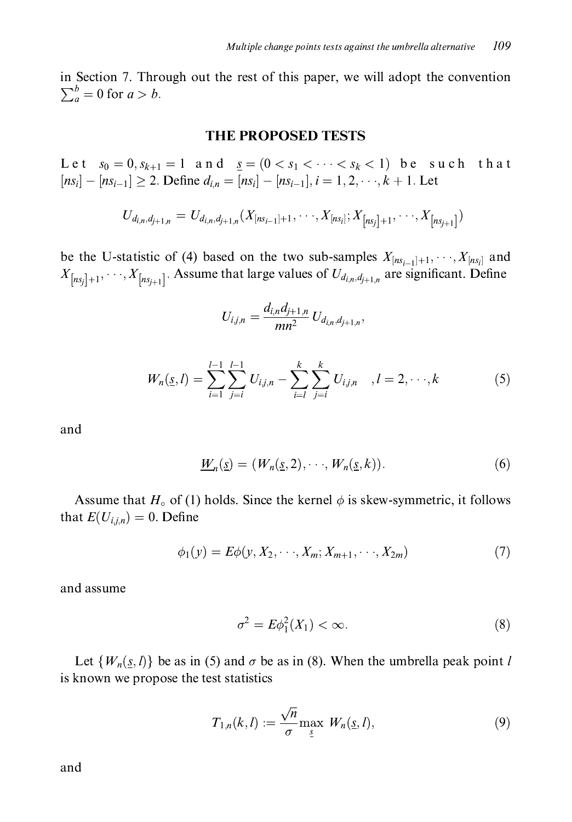in Section 7. Through out the rest of this paper, we will adopt the convention  $\sum_a^b = 0$  for  $a > b$ .

#### **THE PROPOSED TESTS**

Let  $s_0 = 0, s_{k+1} = 1$  and  $s_0 = (0 < s_1 < \cdots < s_k < 1)$  be such that  $[n s_i] - [n s_{i-1}] \ge 2$ . Define  $d_{i,n} = [n s_i] - [n s_{i-1}], i = 1, 2, \dots, k+1$ . Let

$$
U_{d_{i,n},d_{j+1,n}} = U_{d_{i,n},d_{j+1,n}}(X_{[ns_{i-1}]+1},\cdots,X_{[ns_i]};X_{[ns_j]+1},\cdots,X_{[ns_{j+1}]})
$$

be the U-statistic of (4) based on the two sub-samples  $X_{[ns_{i-1}]+1}, \dots, X_{[ns_i]}$  and  $X_{[ns_j]+1}, \dots, X_{[ns_{j+1}]}$ . Assume that large values of  $U_{d_{i,n}, d_{j+1,n}}$  are significant. Define

$$
U_{i,j,n} = \frac{d_{i,n}d_{j+1,n}}{mn^2} U_{d_{i,n},d_{j+1,n}},
$$

$$
W_n(\underline{s}, l) = \sum_{i=1}^{l-1} \sum_{j=i}^{l-1} U_{i,j,n} - \sum_{i=l}^{k} \sum_{j=i}^{k} U_{i,j,n} \quad , l = 2, \cdots, k \tag{5}
$$

and

$$
\underline{W}_n(\underline{s}) = (W_n(\underline{s}, 2), \cdots, W_n(\underline{s}, k)). \tag{6}
$$

Assume that  $H_0$  of (1) holds. Since the kernel  $\phi$  is skew-symmetric, it follows that  $E(U_{i,j,n})=0$ . Define

$$
\phi_1(y) = E\phi(y, X_2, \cdots, X_m; X_{m+1}, \cdots, X_{2m})
$$
\n(7)

and assume

$$
\sigma^2 = E\phi_1^2(X_1) < \infty. \tag{8}
$$

Let  $\{W_n(s, l)\}\$  be as in (5) and  $\sigma$  be as in (8). When the umbrella peak point l is known we propose the test statistics

$$
T_{1,n}(k,l) := \frac{\sqrt{n}}{\sigma} \max_{\underline{s}} W_n(\underline{s}, l), \qquad (9)
$$

and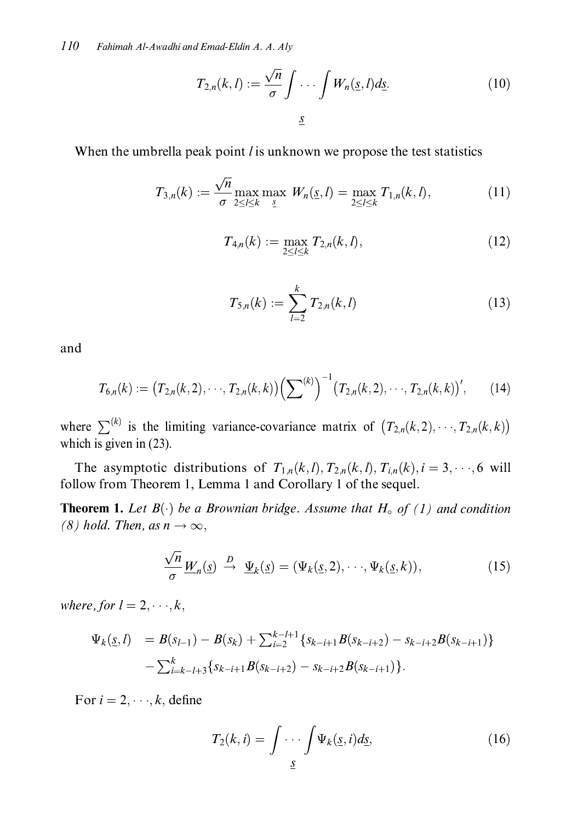$$
T_{2,n}(k,l) := \frac{\sqrt{n}}{\sigma} \int \cdots \int W_n(\underline{s},l) d\underline{s}.\tag{10}
$$

When the umbrella peak point  $l$  is unknown we propose the test statistics

$$
T_{3,n}(k) := \frac{\sqrt{n}}{\sigma} \max_{2 \le l \le k} \max_{\underline{s}} W_n(\underline{s}, l) = \max_{2 \le l \le k} T_{1,n}(k, l), \tag{11}
$$

$$
T_{4,n}(k) := \max_{2 \le l \le k} T_{2,n}(k,l), \tag{12}
$$

$$
T_{5,n}(k) := \sum_{l=2}^{k} T_{2,n}(k,l)
$$
\n(13)

and

$$
T_{6,n}(k) := (T_{2,n}(k,2),\cdots,T_{2,n}(k,k)) \left(\sum^{(k)}\right)^{-1} (T_{2,n}(k,2),\cdots,T_{2,n}(k,k))',\qquad(14)
$$

where  $\sum^{(k)}$  is the limiting variance-covariance matrix of  $(T_{2,n}(k,2),\dots,T_{2,n}(k,k))$ which is given in  $(23)$ .

The asymptotic distributions of  $T_{1,n}(k,l)$ ,  $T_{2,n}(k,l)$ ,  $T_{i,n}(k)$ ,  $i = 3, \dots, 6$  will follow from Theorem 1, Lemma 1 and Corollary 1 of the sequel.

**Theorem 1.** Let  $B(\cdot)$  be a Brownian bridge. Assume that  $H_0$  of (1) and condition  $(8)$  hold. Then, as  $n \to \infty$ ,

$$
\frac{\sqrt{n}}{\sigma} \underline{W}_n(\underline{s}) \stackrel{D}{\to} \underline{\Psi}_k(\underline{s}) = (\Psi_k(\underline{s}, 2), \cdots, \Psi_k(\underline{s}, k)), \tag{15}
$$

where, for  $l = 2, \dots, k$ ,

$$
\Psi_k(\underline{s},l) = B(s_{l-1}) - B(s_k) + \sum_{i=2}^{k-l+1} \{ s_{k-i+1} B(s_{k-i+2}) - s_{k-i+2} B(s_{k-i+1}) \} - \sum_{i=k-l+3}^{k} \{ s_{k-i+1} B(s_{k-i+2}) - s_{k-i+2} B(s_{k-i+1}) \}.
$$

For  $i = 2, \dots, k$ , define

$$
T_2(k,i) = \int \cdots \int \Psi_k(\underline{s},i)d\underline{s}, \qquad (16)
$$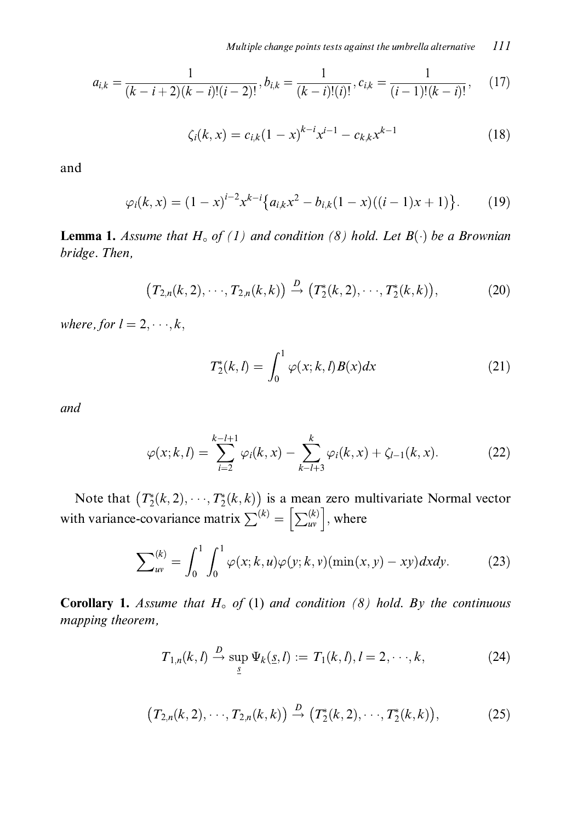$$
a_{i,k} = \frac{1}{(k-i+2)(k-i)!(i-2)!}, b_{i,k} = \frac{1}{(k-i)!(i)!}, c_{i,k} = \frac{1}{(i-1)!(k-i)!},
$$
(17)

$$
\zeta_i(k, x) = c_{i,k} (1 - x)^{k - i} x^{i - 1} - c_{k,k} x^{k - 1}
$$
\n(18)

and

$$
\varphi_i(k, x) = (1 - x)^{i - 2} x^{k - i} \{ a_{i,k} x^2 - b_{i,k} (1 - x) ((i - 1)x + 1) \}.
$$
 (19)

**Lemma 1.** Assume that  $H_0$  of (1) and condition (8) hold. Let  $B(\cdot)$  be a Brownian bridge. Then,

$$
(T_{2,n}(k,2),\cdots,T_{2,n}(k,k)) \stackrel{D}{\to} (T_2^*(k,2),\cdots,T_2^*(k,k)),
$$
 (20)

where, for  $l = 2, \dots, k$ ,

$$
T_2^*(k,l) = \int_0^1 \varphi(x;k,l)B(x)dx\tag{21}
$$

and

$$
\varphi(x;k,l) = \sum_{i=2}^{k-l+1} \varphi_i(k,x) - \sum_{k-l+3}^{k} \varphi_i(k,x) + \zeta_{l-1}(k,x). \tag{22}
$$

Note that  $(T_2^*(k, 2), \dots, T_2^*(k, k))$  is a mean zero multivariate Normal vector with variance-covariance matrix  $\sum^{(k)} = \left[\sum_{uv}^{(k)}\right]$ , where

$$
\sum_{uv}^{(k)} = \int_0^1 \int_0^1 \varphi(x;k,u)\varphi(y;k,v)(\min(x,y)-xy)dxdy.
$$
 (23)

**Corollary 1.** Assume that  $H_0$  of (1) and condition (8) hold. By the continuous mapping theorem,

$$
T_{1,n}(k,l) \stackrel{D}{\to} \sup_{\underline{s}} \Psi_k(\underline{s},l) := T_1(k,l), l = 2,\cdots,k,
$$
 (24)

$$
(T_{2,n}(k,2),\cdots,T_{2,n}(k,k)) \xrightarrow{D} (T_2^*(k,2),\cdots,T_2^*(k,k)),
$$
 (25)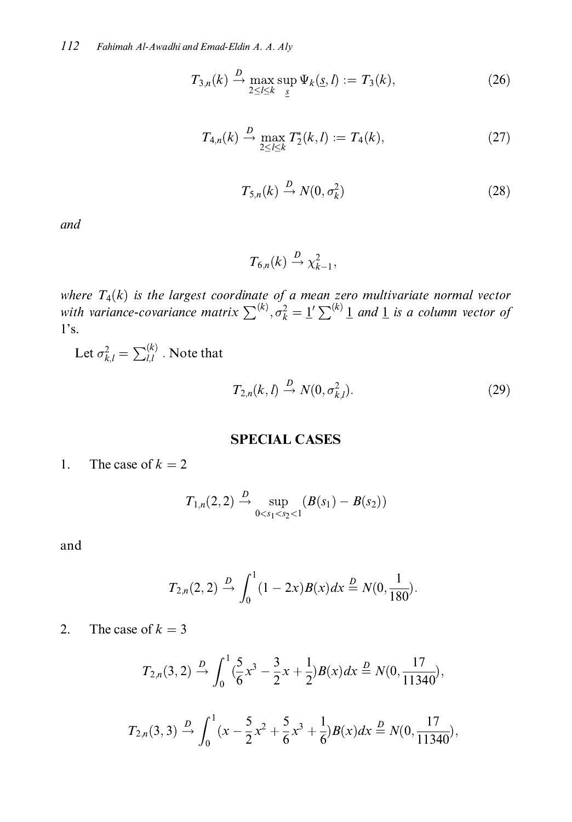$$
T_{3,n}(k) \xrightarrow{D} \max_{2 \le l \le k} \sup_{S} \Psi_k(\underline{s}, l) := T_3(k), \tag{26}
$$

$$
T_{4,n}(k) \xrightarrow{D} \max_{2 \le l \le k} T_2^*(k, l) := T_4(k), \tag{27}
$$

$$
T_{5,n}(k) \stackrel{D}{\to} N(0, \sigma_k^2) \tag{28}
$$

and

$$
T_{6,n}(k) \stackrel{D}{\rightarrow} \chi^2_{k-1},
$$

where  $T_4(k)$  is the largest coordinate of a mean zero multivariate normal vector<br>with variance-covariance matrix  $\sum^{(k)}$ ,  $\sigma_k^2 = \underline{1}' \sum^{(k)} \underline{1}$  and  $\underline{1}$  is a column vector of  $1's.$ 

Let  $\sigma_{k,l}^2 = \sum_{l,l}^{(k)}$  . Note that

$$
T_{2,n}(k,l) \stackrel{D}{\rightarrow} N(0,\sigma_{k,l}^2). \tag{29}
$$

#### **SPECIAL CASES**

1. The case of  $k = 2$ 

$$
T_{1,n}(2,2) \stackrel{D}{\rightarrow} \sup_{0
$$

mp.<br>C

$$
T_{2,n}(2,2) \stackrel{D}{\rightarrow} \int_0^1 (1-2x)B(x)dx \stackrel{D}{=} N(0,\frac{1}{180}).
$$

2. The case of  $k = 3$ 

$$
T_{2,n}(3,2) \xrightarrow{D} \int_0^1 (\frac{5}{6}x^3 - \frac{3}{2}x + \frac{1}{2})B(x)dx \xrightarrow{D} N(0, \frac{17}{11340}),
$$

$$
T_{2,n}(3,3) \stackrel{D}{\rightarrow} \int_0^1 (x - \frac{5}{2}x^2 + \frac{5}{6}x^3 + \frac{1}{6})B(x)dx \stackrel{D}{=} N(0, \frac{17}{11340}),
$$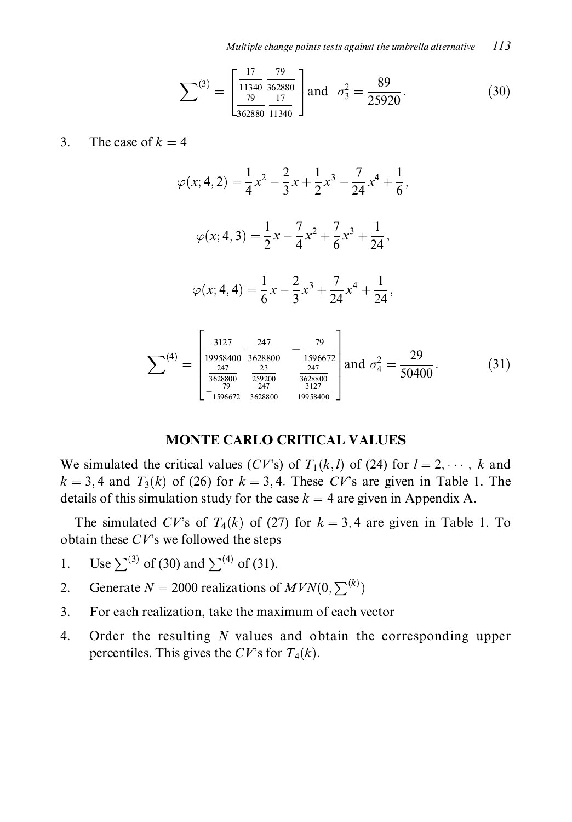Multiple change points tests against the umbrella alternative  $113$ 

$$
\sum^{(3)} = \begin{bmatrix} \frac{17}{11340} & \frac{79}{362880} \\ \frac{79}{362880} & \frac{17}{11340} \end{bmatrix} \text{and } \sigma_3^2 = \frac{89}{25920}.
$$
 (30)

#### $\overline{3}$ . The case of  $k = 4$

$$
\varphi(x; 4, 2) = \frac{1}{4}x^2 - \frac{2}{3}x + \frac{1}{2}x^3 - \frac{7}{24}x^4 + \frac{1}{6},
$$
  

$$
\varphi(x; 4, 3) = \frac{1}{2}x - \frac{7}{4}x^2 + \frac{7}{6}x^3 + \frac{1}{24},
$$
  

$$
\varphi(x; 4, 4) = \frac{1}{6}x - \frac{2}{3}x^3 + \frac{7}{24}x^4 + \frac{1}{24},
$$
  

$$
\sum^{(4)} = \begin{bmatrix} \frac{3127}{19958400} & \frac{247}{3628800} & -\frac{79}{1596672} \\ \frac{247}{3628800} & \frac{23}{259200} & \frac{247}{3628800} \\ -\frac{79}{1596672} & \frac{247}{3628800} & \frac{3127}{19958400} \end{bmatrix} \text{ and } \sigma_4^2 = \frac{29}{50400}.
$$
 (31)

#### **MONTE CARLO CRITICAL VALUES**

We simulated the critical values (CV's) of  $T_1(k, l)$  of (24) for  $l = 2, \dots, k$  and  $k = 3, 4$  and  $T_3(k)$  of (26) for  $k = 3, 4$ . These CV's are given in Table 1. The details of this simulation study for the case  $k = 4$  are given in Appendix A.

The simulated CV's of  $T_4(k)$  of (27) for  $k = 3, 4$  are given in Table 1. To obtain these  $CV$ 's we followed the steps

- Use  $\sum^{(3)}$  of (30) and  $\sum^{(4)}$  of (31).  $1<sub>1</sub>$
- Generate  $N = 2000$  realizations of  $MVN(0, \sum^{(k)})$  $2.$
- For each realization, take the maximum of each vector 3.
- $4.$ Order the resulting  $N$  values and obtain the corresponding upper percentiles. This gives the CV's for  $T_4(k)$ .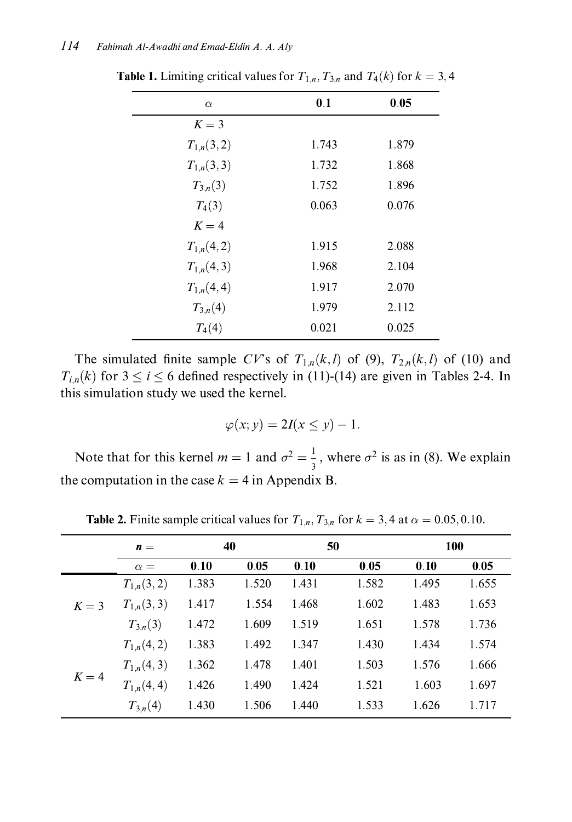| $\alpha$       | 0.1   | 0.05  |
|----------------|-------|-------|
| $K = 3$        |       |       |
| $T_{1,n}(3,2)$ | 1.743 | 1.879 |
| $T_{1,n}(3,3)$ | 1.732 | 1.868 |
| $T_{3,n}(3)$   | 1.752 | 1.896 |
| $T_4(3)$       | 0.063 | 0.076 |
| $K=4$          |       |       |
| $T_{1,n}(4,2)$ | 1.915 | 2.088 |
| $T_{1,n}(4,3)$ | 1.968 | 2.104 |
| $T_{1,n}(4,4)$ | 1.917 | 2.070 |
| $T_{3,n}(4)$   | 1.979 | 2.112 |
| $T_4(4)$       | 0.021 | 0.025 |

**Table 1.** Limiting critical values for  $T_{1,n}$ ,  $T_{3,n}$  and  $T_4(k)$  for  $k = 3, 4$ 

The simulated finite sample CV's of  $T_{1,n}(k, l)$  of (9),  $T_{2,n}(k, l)$  of (10) and  $T_{i,n}(k)$  for  $3 \le i \le 6$  defined respectively in (11)-(14) are given in Tables 2-4. In this simulation study we used the kernel.

$$
\varphi(x; y) = 2I(x \le y) - 1.
$$

Note that for this kernel  $m = 1$  and  $\sigma^2 = \frac{1}{3}$ , where  $\sigma^2$  is as in (8). We explain the computation in the case  $k = 4$  in Appendix B.

|         | $\mathbf{n} =$ |       | 40    | 50    |       |       | 100   |
|---------|----------------|-------|-------|-------|-------|-------|-------|
|         | $\alpha =$     | 0.10  | 0.05  | 0.10  | 0.05  | 0.10  | 0.05  |
|         | $T_{1,n}(3,2)$ | 1.383 | 1.520 | 1.431 | 1.582 | 1.495 | 1.655 |
| $K = 3$ | $T_{1,n}(3,3)$ | 1.417 | 1.554 | 1.468 | 1.602 | 1.483 | 1.653 |
|         | $T_{3,n}(3)$   | 1.472 | 1.609 | 1.519 | 1.651 | 1.578 | 1.736 |
|         | $T_{1,n}(4,2)$ | 1.383 | 1.492 | 1.347 | 1.430 | 1.434 | 1.574 |
|         | $T_{1,n}(4,3)$ | 1.362 | 1.478 | 1.401 | 1.503 | 1.576 | 1.666 |
| $K=4$   | $T_{1,n}(4,4)$ | 1.426 | 1.490 | 1.424 | 1.521 | 1.603 | 1.697 |
|         | $T_{3,n}(4)$   | 1.430 | 1.506 | 1.440 | 1.533 | 1.626 | 1.717 |

**Table 2.** Finite sample critical values for  $T_{1,n}$ ,  $T_{3,n}$  for  $k = 3, 4$  at  $\alpha = 0.05, 0.10$ .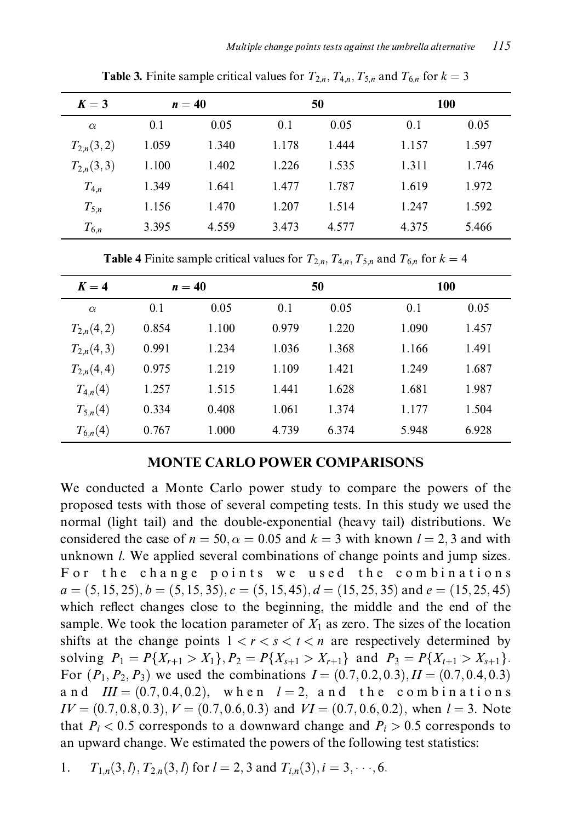| $K=3$          |       | $n=40$ |       | 50    |       | 100   |  |  |
|----------------|-------|--------|-------|-------|-------|-------|--|--|
| $\alpha$       | 0.1   | 0.05   | 0.1   | 0.05  | 0.1   | 0.05  |  |  |
| $T_{2,n}(3,2)$ | 1.059 | 1.340  | 1.178 | 1.444 | 1.157 | 1.597 |  |  |
| $T_{2,n}(3,3)$ | 1.100 | 1.402  | 1.226 | 1.535 | 1.311 | 1.746 |  |  |
| $T_{4,n}$      | 1.349 | 1.641  | 1.477 | 1.787 | 1.619 | 1.972 |  |  |
| $T_{5,n}$      | 1.156 | 1.470  | 1.207 | 1.514 | 1.247 | 1.592 |  |  |
| $T_{6,n}$      | 3.395 | 4.559  | 3.473 | 4.577 | 4.375 | 5.466 |  |  |

**Table 3.** Finite sample critical values for  $T_{2,n}$ ,  $T_{4,n}$ ,  $T_{5,n}$  and  $T_{6,n}$  for  $k=3$ 

**Table 4** Finite sample critical values for  $T_{2,n}$ ,  $T_{4,n}$ ,  $T_{5,n}$  and  $T_{6,n}$  for  $k = 4$ 

| $K=4$          |       | $n=40$ |       | 50    | 100   |       |  |
|----------------|-------|--------|-------|-------|-------|-------|--|
| $\alpha$       | 0.1   | 0.05   | 0.1   | 0.05  | 0.1   | 0.05  |  |
| $T_{2,n}(4,2)$ | 0.854 | 1.100  | 0.979 | 1.220 | 1.090 | 1.457 |  |
| $T_{2,n}(4,3)$ | 0.991 | 1.234  | 1.036 | 1.368 | 1.166 | 1.491 |  |
| $T_{2,n}(4,4)$ | 0.975 | 1.219  | 1.109 | 1.421 | 1.249 | 1.687 |  |
| $T_{4,n}(4)$   | 1.257 | 1.515  | 1.441 | 1.628 | 1.681 | 1.987 |  |
| $T_{5,n}(4)$   | 0.334 | 0.408  | 1.061 | 1.374 | 1.177 | 1.504 |  |
| $T_{6,n}(4)$   | 0.767 | 1.000  | 4.739 | 6.374 | 5.948 | 6.928 |  |

#### **MONTE CARLO POWER COMPARISONS**

We conducted a Monte Carlo power study to compare the powers of the proposed tests with those of several competing tests. In this study we used the normal (light tail) and the double-exponential (heavy tail) distributions. We considered the case of  $n = 50$ ,  $\alpha = 0.05$  and  $k = 3$  with known  $l = 2, 3$  and with unknown *l*. We applied several combinations of change points and jump sizes. For the change points we used the combinations  $a = (5, 15, 25), b = (5, 15, 35), c = (5, 15, 45), d = (15, 25, 35)$  and  $e = (15, 25, 45)$ which reflect changes close to the beginning, the middle and the end of the sample. We took the location parameter of  $X_1$  as zero. The sizes of the location shifts at the change points  $1 < r < s < t < n$  are respectively determined by solving  $P_1 = P\{X_{r+1} > X_1\}, P_2 = P\{X_{s+1} > X_{r+1}\}\$ and  $P_3 = P\{X_{t+1} > X_{s+1}\}.$ For  $(P_1, P_2, P_3)$  we used the combinations  $I = (0.7, 0.2, 0.3), H = (0.7, 0.4, 0.3)$ and  $III = (0.7, 0.4, 0.2)$ , when  $l = 2$ , and the combinations  $IV = (0.7, 0.8, 0.3), V = (0.7, 0.6, 0.3)$  and  $VI = (0.7, 0.6, 0.2),$  when  $l = 3$ . Note that  $P_i$  < 0.5 corresponds to a downward change and  $P_i$  > 0.5 corresponds to an upward change. We estimated the powers of the following test statistics:

1. 
$$
T_{1,n}(3,l), T_{2,n}(3,l)
$$
 for  $l = 2,3$  and  $T_{i,n}(3), i = 3, \dots, 6$ .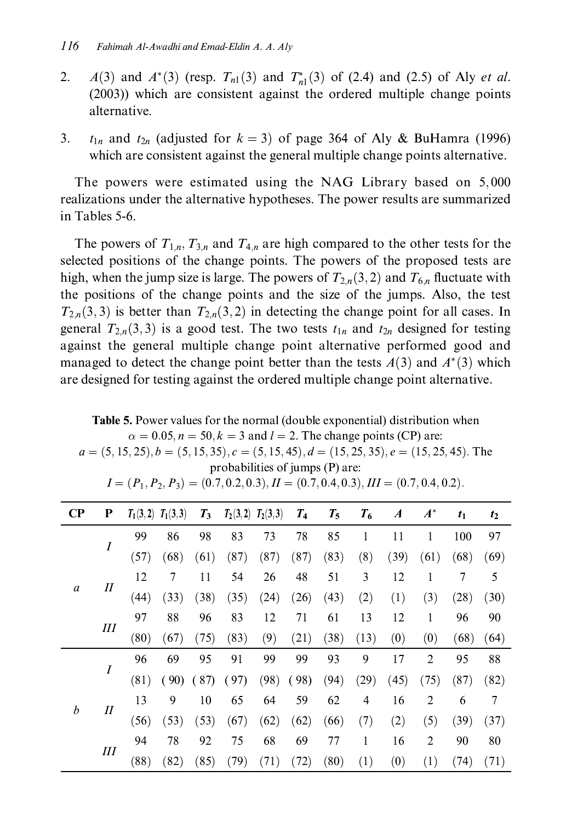- $2.$  $A(3)$  and  $A^*(3)$  (resp.  $T_{n1}(3)$  and  $T_{n1}^*(3)$  of (2.4) and (2.5) of Aly *et al.* (2003)) which are consistent against the ordered multiple change points alternative.
- $t_{1n}$  and  $t_{2n}$  (adjusted for  $k = 3$ ) of page 364 of Aly & BuHamra (1996) 3. which are consistent against the general multiple change points alternative.

The powers were estimated using the NAG Library based on 5,000 realizations under the alternative hypotheses. The power results are summarized in Tables 5-6.

The powers of  $T_{1,n}$ ,  $T_{3,n}$  and  $T_{4,n}$  are high compared to the other tests for the selected positions of the change points. The powers of the proposed tests are high, when the jump size is large. The powers of  $T_{2n}(3,2)$  and  $T_{6n}$  fluctuate with the positions of the change points and the size of the jumps. Also, the test  $T_{2,n}(3,3)$  is better than  $T_{2,n}(3,2)$  in detecting the change point for all cases. In general  $T_{2,n}(3,3)$  is a good test. The two tests  $t_{1n}$  and  $t_{2n}$  designed for testing against the general multiple change point alternative performed good and managed to detect the change point better than the tests  $A(3)$  and  $A^*(3)$  which are designed for testing against the ordered multiple change point alternative.

 $a = (5, 15, 25), b = (5, 15, 35), c = (5, 15, 45), d = (15, 25, 35), e = (15, 25, 45)$ . The probabilities of jumps (P) are:  $I = (P_1, P_2, P_3) = (0.7, 0.2, 0.3), H = (0.7, 0.4, 0.3), H = (0.7, 0.4, 0.2).$  $\overline{\mathbf{C}}\mathbf{P}$  $\boldsymbol{A}^*$  ${\bf P}$  $T_1(3,2)$   $T_1(3,3)$  $T_3$  $T_2(3,2)$   $T_2(3,3)$  $T_{4}$  $T_5$  $T_6$  $\boldsymbol{A}$  $t_1$  $t_2$ 99 98 83 73 78 85  $\mathbf{1}$  $11$  $\mathbf{1}$ 100 97 86  $\cal I$  $(57)$  $(39)$  $(61)$  $(68)$  $(61)$  $(87)$  $(87)$  $(87)$  $(83)$  $(8)$  $(68)$  $(69)$ 5 12  $7\phantom{.}$ 54 26 48 51 3 12  $\mathbf{1}$  $\tau$ 11  $\cal II$  $\boldsymbol{a}$  $(44)$  $(33)$  $(38)$  $(35)$  $(24)$  $(26)$  $(43)$  $(2)$  $(1)$  $(3)$  $(28)$  $(30)$ 97 88 96 83 12 71 61 13 12  $\mathbf{1}$ 96 90  $III$  $(9)$  $(0)$  $(80)$  $(67)$  $(75)$  $(83)$  $(21)$  $(38)$  $(13)$  $(0)$  $(68)$  $(64)$ 99 9  $\overline{2}$ 96 69 95 99 93 17 95 91 88 I  $(81)$  $(90)$   $(87)$  $(97)$  $(98)$  $(98)$  $(94)$  $(29)$  $(45)$  $(75)$  $(87)$  $(82)$ 13 9 64 59  $\overline{4}$  $\overline{c}$  $\tau$ 10 65 62 16 6  $\boldsymbol{b}$  $I\!I$  $(56)$  $(5)$  $(53)$  $(53)$  $(67)$  $(62)$  $(62)$  $(66)$  $(7)$  $(2)$  $(39)$  $(37)$ 94 78 92 75 68 69  $77 \,$  $\mathbf{1}$ 16  $\overline{c}$ 90 80  $I\!I\!I$  $(88)$  $(82)$  $(85)$  $(79)$  $(71)$  $(72)$  $(80)$  $(1)$  $(0)$  $(1)$  $(74)$  $(71)$ 

Table 5. Power values for the normal (double exponential) distribution when  $\alpha = 0.05$ ,  $n = 50$ ,  $k = 3$  and  $l = 2$ . The change points (CP) are: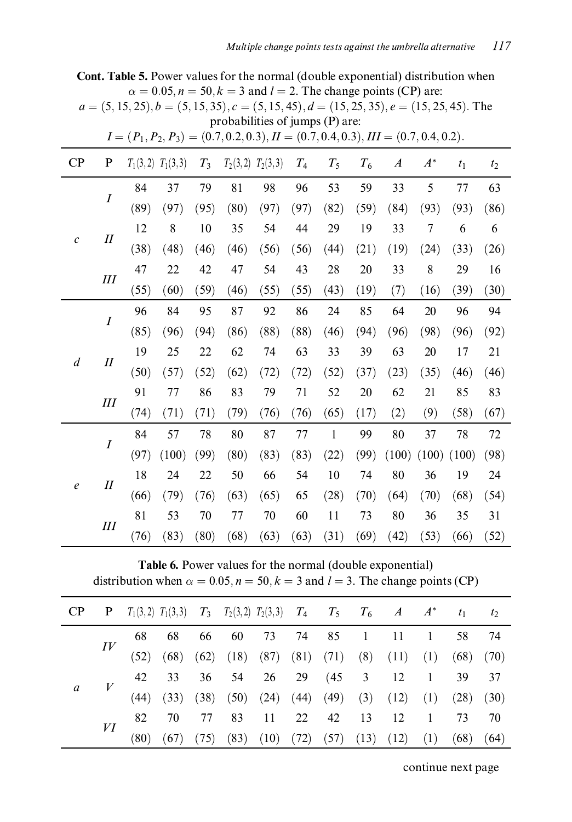|                         |                |                                                                                               | $\alpha = 0.05$ , $n = 50$ , $k = 3$ and $l = 2$ . The change points (CP) are: |       |                                 |      |                |       |       |                  |                |                |                |
|-------------------------|----------------|-----------------------------------------------------------------------------------------------|--------------------------------------------------------------------------------|-------|---------------------------------|------|----------------|-------|-------|------------------|----------------|----------------|----------------|
|                         |                | $a = (5, 15, 25), b = (5, 15, 35), c = (5, 15, 45), d = (15, 25, 35), e = (15, 25, 45)$ . The |                                                                                |       | probabilities of jumps (P) are: |      |                |       |       |                  |                |                |                |
|                         |                | $I = (P_1, P_2, P_3) = (0.7, 0.2, 0.3), H = (0.7, 0.4, 0.3), H = (0.7, 0.4, 0.2).$            |                                                                                |       |                                 |      |                |       |       |                  |                |                |                |
| $\mathbf{C} \mathbf{P}$ | P              |                                                                                               | $T_1(3,2)$ $T_1(3,3)$                                                          | $T_3$ | $T_2(3,2)$ $T_2(3,3)$           |      | T <sub>4</sub> | $T_5$ | $T_6$ | $\boldsymbol{A}$ | $A^*$          | t <sub>1</sub> | t <sub>2</sub> |
|                         |                | 84                                                                                            | 37                                                                             | 79    | 81                              | 98   | 96             | 53    | 59    | 33               | 5              | 77             | 63             |
|                         | I              | (89)                                                                                          | (97)                                                                           | (95)  | (80)                            | (97) | (97)           | (82)  | (59)  | (84)             | (93)           | (93)           | (86)           |
|                         |                | 12                                                                                            | 8                                                                              | 10    | 35                              | 54   | 44             | 29    | 19    | 33               | $\overline{7}$ | 6              | 6              |
| $\mathcal{C}$           | $I\!I$         | (38)                                                                                          | (48)                                                                           | (46)  | (46)                            | (56) | (56)           | (44)  | (21)  | (19)             | (24)           | (33)           | (26)           |
|                         |                | 47                                                                                            | 22                                                                             | 42    | 47                              | 54   | 43             | 28    | 20    | 33               | 8              | 29             | 16             |
|                         | III            | (55)                                                                                          | (60)                                                                           | (59)  | (46)                            | (55) | (55)           | (43)  | (19)  | (7)              | (16)           | (39)           | (30)           |
|                         |                | 96                                                                                            | 84                                                                             | 95    | 87                              | 92   | 86             | 24    | 85    | 64               | 20             | 96             | 94             |
|                         | I              | (85)                                                                                          | (96)                                                                           | (94)  | (86)                            | (88) | (88)           | (46)  | (94)  | (96)             | (98)           | (96)           | (92)           |
|                         |                | 19                                                                                            | 25                                                                             | 22    | 62                              | 74   | 63             | 33    | 39    | 63               | 20             | 17             | 21             |
| $\overline{d}$          | $\cal H$       | (50)                                                                                          | (57)                                                                           | (52)  | (62)                            | (72) | (72)           | (52)  | (37)  | (23)             | (35)           | (46)           | (46)           |
|                         |                | 91                                                                                            | 77                                                                             | 86    | 83                              | 79   | 71             | 52    | 20    | 62               | 21             | 85             | 83             |
|                         | III            | (74)                                                                                          | (71)                                                                           | (71)  | (79)                            | (76) | (76)           | (65)  | (17)  | (2)              | (9)            | (58)           | (67)           |
|                         |                | 84                                                                                            | 57                                                                             | 78    | 80                              | 87   | 77             | 1     | 99    | 80               | 37             | 78             | 72             |
|                         | $\overline{I}$ | (97)                                                                                          | (100)                                                                          | (99)  | (80)                            | (83) | (83)           | (22)  | (99)  | (100)            | (100)          | (100)          | (98)           |
|                         |                | 18                                                                                            | 24                                                                             | 22    | 50                              | 66   | 54             | 10    | 74    | 80               | 36             | 19             | 24             |
| $\boldsymbol{e}$        | $I\!I$         | (66)                                                                                          | (79)                                                                           | (76)  | (63)                            | (65) | 65             | (28)  | (70)  | (64)             | (70)           | (68)           | (54)           |
|                         |                | 81                                                                                            | 53                                                                             | 70    | 77                              | 70   | 60             | 11    | 73    | 80               | 36             | 35             | 31             |
| III                     | (76)           | (83)                                                                                          | (80)                                                                           | (68)  | (63)                            | (63) | (31)           | (69)  | (42)  | (53)             | (66)           | (52)           |                |

Cont. Table 5. Power values for the normal (double exponential) distribution when

Table 6. Power values for the normal (double exponential) distribution when  $\alpha = 0.05$ ,  $n = 50$ ,  $k = 3$  and  $l = 3$ . The change points (CP)

|  |    | <b>P</b> $T_1(3,2)$ $T_1(3,3)$ $T_3$ $T_2(3,2)$ $T_2(3,3)$ $T_4$ $T_5$ $T_6$ $A$ $A^*$ $t_1$ $t_2$ |  |                                                                                                                                                                                  |  |  |  |  |
|--|----|----------------------------------------------------------------------------------------------------|--|----------------------------------------------------------------------------------------------------------------------------------------------------------------------------------|--|--|--|--|
|  |    |                                                                                                    |  |                                                                                                                                                                                  |  |  |  |  |
|  |    |                                                                                                    |  | $\begin{array}{cccccccc} 68 & 68 & 66 & 60 & 73 & 74 & 85 & 1 & 11 & 1 & 58 & 74 \\ (52) & (68) & (62) & (18) & (87) & (81) & (71) & (8) & (11) & (1) & (68) & (70) \end{array}$ |  |  |  |  |
|  |    |                                                                                                    |  |                                                                                                                                                                                  |  |  |  |  |
|  |    |                                                                                                    |  | 42 33 36 54 26 29 (45 3 12 1 39 37 (44) (33) (38) (50) (24) (44) (49) (3) (12) (1) (28) (30)                                                                                     |  |  |  |  |
|  | VI | 82                                                                                                 |  |                                                                                                                                                                                  |  |  |  |  |
|  |    |                                                                                                    |  | 70 77 83 11 22 42 13 12 1 73 70<br>(67) (75) (83) (10) (72) (57) (13) (12) (1) (68) (64)                                                                                         |  |  |  |  |

continue next page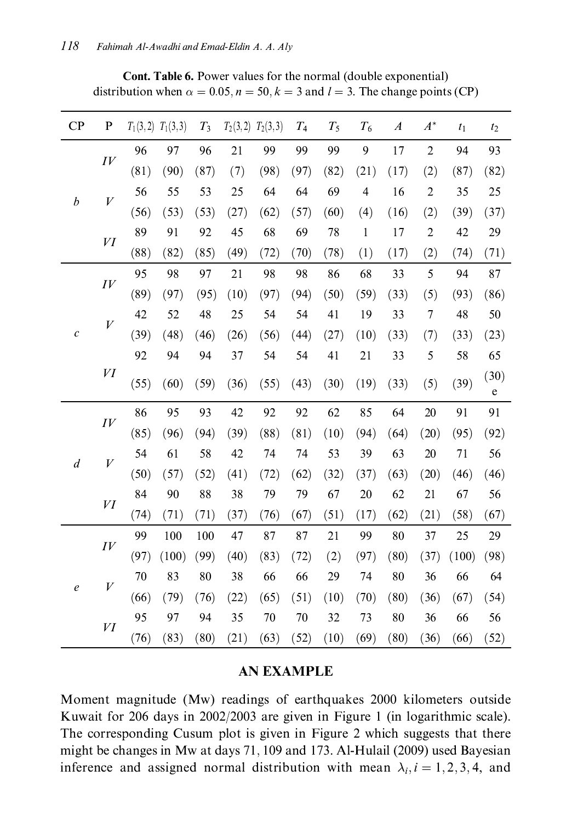| CP               | $\bf P$            | $T_1(3,2)$ | $T_1(3,3)$ | $T_3$ | $T_2(3,2)$ | $T_2(3,3)$ | T <sub>4</sub> | $T_5$ | $T_6$                    | $\boldsymbol{A}$ | $A^*$          | t <sub>1</sub> | t <sub>2</sub> |
|------------------|--------------------|------------|------------|-------|------------|------------|----------------|-------|--------------------------|------------------|----------------|----------------|----------------|
|                  | $I\bar{V}$         | 96         | 97         | 96    | 21         | 99         | 99             | 99    | 9                        | 17               | $\overline{c}$ | 94             | 93             |
|                  |                    | (81)       | (90)       | (87)  | (7)        | (98)       | (97)           | (82)  | (21)                     | (17)             | (2)            | (87)           | (82)           |
| b                | $\boldsymbol{V}$   | 56         | 55         | 53    | 25         | 64         | 64             | 69    | $\overline{\mathcal{L}}$ | 16               | $\overline{2}$ | 35             | 25             |
|                  |                    | (56)       | (53)       | (53)  | (27)       | (62)       | (57)           | (60)  | (4)                      | (16)             | (2)            | (39)           | (37)           |
|                  | VI                 | 89         | 91         | 92    | 45         | 68         | 69             | 78    | $\mathbf{1}$             | 17               | $\overline{c}$ | 42             | 29             |
|                  |                    | (88)       | (82)       | (85)  | (49)       | (72)       | (70)           | (78)  | (1)                      | (17)             | (2)            | (74)           | (71)           |
|                  |                    | 95         | 98         | 97    | 21         | 98         | 98             | 86    | 68                       | 33               | 5              | 94             | 87             |
|                  | IV                 | (89)       | (97)       | (95)  | (10)       | (97)       | (94)           | (50)  | (59)                     | (33)             | (5)            | (93)           | (86)           |
|                  | V                  | 42         | 52         | 48    | 25         | 54         | 54             | 41    | 19                       | 33               | $\overline{7}$ | 48             | 50             |
| $\mathcal C$     |                    | (39)       | (48)       | (46)  | (26)       | (56)       | (44)           | (27)  | (10)                     | (33)             | (7)            | (33)           | (23)           |
|                  |                    | 92         | 94         | 94    | 37         | 54         | 54             | 41    | 21                       | 33               | 5              | 58             | 65             |
|                  | VI                 | (55)       | (60)       | (59)  | (36)       | (55)       | (43)           | (30)  | (19)                     | (33)             | (5)            | (39)           | (30)<br>e      |
|                  | IV                 | 86         | 95         | 93    | 42         | 92         | 92             | 62    | 85                       | 64               | 20             | 91             | 91             |
|                  |                    | (85)       | (96)       | (94)  | (39)       | (88)       | (81)           | (10)  | (94)                     | (64)             | (20)           | (95)           | (92)           |
| $\boldsymbol{d}$ | V                  | 54         | 61         | 58    | 42         | 74         | 74             | 53    | 39                       | 63               | 20             | 71             | 56             |
|                  |                    | (50)       | (57)       | (52)  | (41)       | (72)       | (62)           | (32)  | (37)                     | (63)             | (20)           | (46)           | (46)           |
|                  | VI                 | 84         | 90         | 88    | 38         | 79         | 79             | 67    | 20                       | 62               | 21             | 67             | 56             |
|                  |                    | (74)       | (71)       | (71)  | (37)       | (76)       | (67)           | (51)  | (17)                     | (62)             | (21)           | (58)           | (67)           |
|                  | $I\hspace{-.5mm}V$ | 99         | 100        | 100   | 47         | 87         | 87             | 21    | 99                       | 80               | 37             | 25             | 29             |
|                  |                    | (97)       | (100)      | (99)  | (40)       | (83)       | (72)           | (2)   | (97)                     | (80)             | (37)           | (100)          | (98)           |
|                  | $\bar{V}$          | 70         | 83         | 80    | 38         | 66         | 66             | 29    | 74                       | 80               | 36             | 66             | 64             |
| $\boldsymbol{e}$ |                    | (66)       | (79)       | (76)  | (22)       | (65)       | (51)           | (10)  | (70)                     | (80)             | (36)           | (67)           | (54)           |
|                  |                    | 95         | 97         | 94    | 35         | 70         | 70             | 32    | 73                       | 80               | 36             | 66             | 56             |
| VI               |                    | (76)       | (83)       | (80)  | (21)       | (63)       | (52)           | (10)  | (69)                     | (80)             | (36)           | (66)           | (52)           |

Cont. Table 6. Power values for the normal (double exponential) distribution when  $\alpha = 0.05$ ,  $n = 50$ ,  $k = 3$  and  $l = 3$ . The change points (CP)

#### **AN EXAMPLE**

Moment magnitude (Mw) readings of earthquakes 2000 kilometers outside Kuwait for 206 days in 2002/2003 are given in Figure 1 (in logarithmic scale). The corresponding Cusum plot is given in Figure 2 which suggests that there might be changes in Mw at days 71, 109 and 173. Al-Hulail (2009) used Bayesian inference and assigned normal distribution with mean  $\lambda_i$ ,  $i = 1, 2, 3, 4$ , and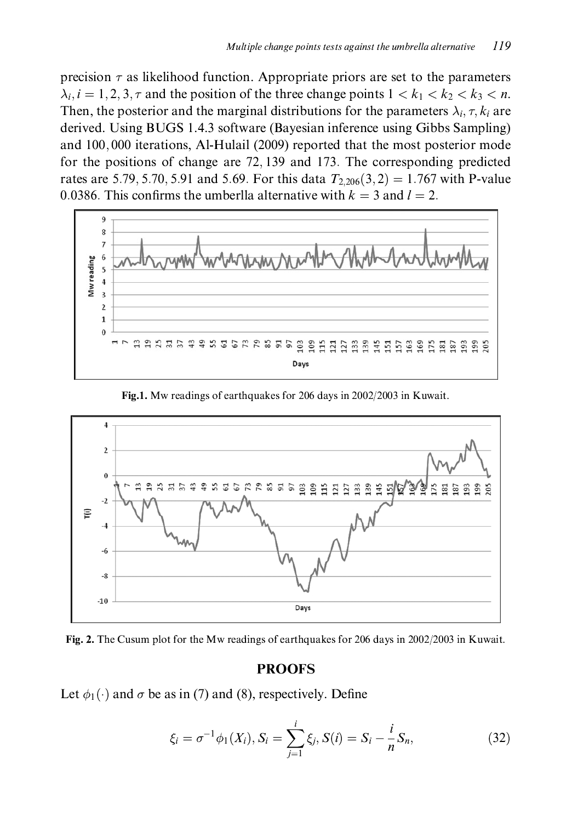precision  $\tau$  as likelihood function. Appropriate priors are set to the parameters  $\lambda_i$ ,  $i = 1, 2, 3, \tau$  and the position of the three change points  $1 < k_1 < k_2 < k_3 < n$ . Then, the posterior and the marginal distributions for the parameters  $\lambda_i$ ,  $\tau$ ,  $k_i$  are derived. Using BUGS 1.4.3 software (Bayesian inference using Gibbs Sampling) and 100,000 iterations, Al-Hulail (2009) reported that the most posterior mode for the positions of change are 72,139 and 173. The corresponding predicted rates are 5.79, 5.70, 5.91 and 5.69. For this data  $T_{2,206}(3,2) = 1.767$  with P-value 0.0386. This confirms the umberlla alternative with  $k = 3$  and  $l = 2$ .



Fig.1. Mw readings of earthquakes for 206 days in 2002/2003 in Kuwait.



Fig. 2. The Cusum plot for the Mw readings of earthquakes for 206 days in 2002/2003 in Kuwait.

#### **PROOFS**

Let  $\phi_1(\cdot)$  and  $\sigma$  be as in (7) and (8), respectively. Define

$$
\xi_i = \sigma^{-1} \phi_1(X_i), S_i = \sum_{j=1}^i \xi_j, S(i) = S_i - \frac{i}{n} S_n,
$$
\n(32)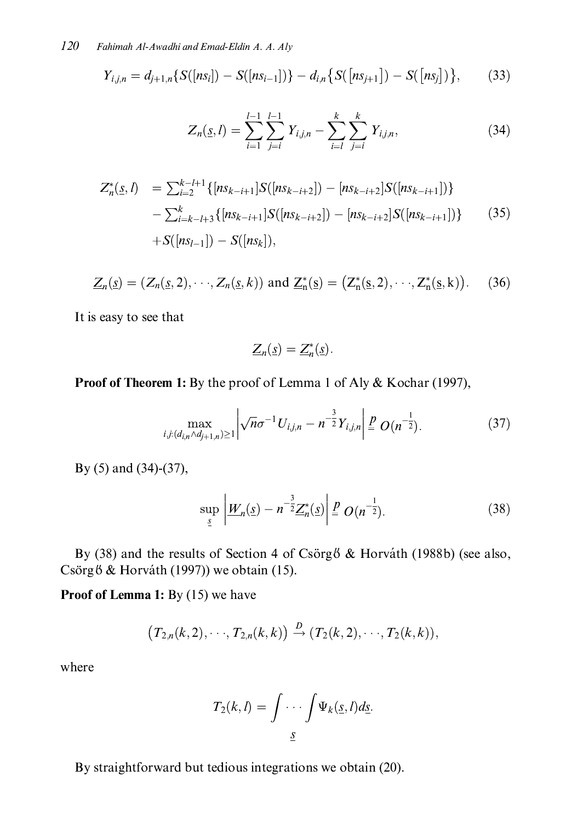$$
Y_{i,j,n} = d_{j+1,n} \{ S([ns_i]) - S([ns_{i-1}]) \} - d_{i,n} \{ S([ns_{j+1}]) - S([ns_j]) \},
$$
(33)

$$
Z_n(\underline{s}, l) = \sum_{i=1}^{l-1} \sum_{j=i}^{l-1} Y_{i,j,n} - \sum_{i=l}^{k} \sum_{j=i}^{k} Y_{i,j,n},
$$
(34)

$$
Z_n^*(\underline{s}, l) = \sum_{i=2}^{k-l+1} \{ [ns_{k-i+1}] S([ns_{k-i+2}]) - [ns_{k-i+2}] S([ns_{k-i+1}]) \} - \sum_{i=k-l+3}^k \{ [ns_{k-i+1}] S([ns_{k-i+2}]) - [ns_{k-i+2}] S([ns_{k-i+1}]) \} - S([ns_{l-1}]) - S([ns_k]), \qquad (35)
$$

$$
\underline{Z}_n(\underline{s}) = (Z_n(\underline{s}, 2), \cdots, Z_n(\underline{s}, k)) \text{ and } \underline{Z}_n^*(\underline{s}) = (Z_n^*(\underline{s}, 2), \cdots, Z_n^*(\underline{s}, k)). \tag{36}
$$

It is easy to see that

$$
\underline{Z}_n(\underline{s}) = \underline{Z}_n^*(\underline{s}).
$$

#### Proof of Theorem 1: By the proof of Lemma 1 of Aly & Kochar (1997),

$$
\max_{i,j:(d_{i,n}\wedge d_{j+1,n})\geq 1} \left| \sqrt{n}\sigma^{-1} U_{i,j,n} - n^{-\frac{3}{2}} Y_{i,j,n} \right| \stackrel{p}{=} O(n^{-\frac{1}{2}}). \tag{37}
$$

By  $(5)$  and  $(34)-(37)$ ,

$$
\sup_{\underline{s}} \left| \underline{W}_n(\underline{s}) - n^{-\frac{3}{2}} \underline{Z}_n^*(\underline{s}) \right| \stackrel{P}{=} O(n^{-\frac{1}{2}}). \tag{38}
$$

By (38) and the results of Section 4 of Csörg & Horváth (1988b) (see also, Csörgő & Horváth (1997)) we obtain (15).

Proof of Lemma 1: By (15) we have

$$
(T_{2,n}(k,2),\cdots,T_{2,n}(k,k)) \xrightarrow{D} (T_2(k,2),\cdots,T_2(k,k)),
$$

where

$$
T_2(k,l)=\int \cdots \int \Psi_k(\underline{s},l)d\underline{s}.
$$

By straightforward but tedious integrations we obtain (20).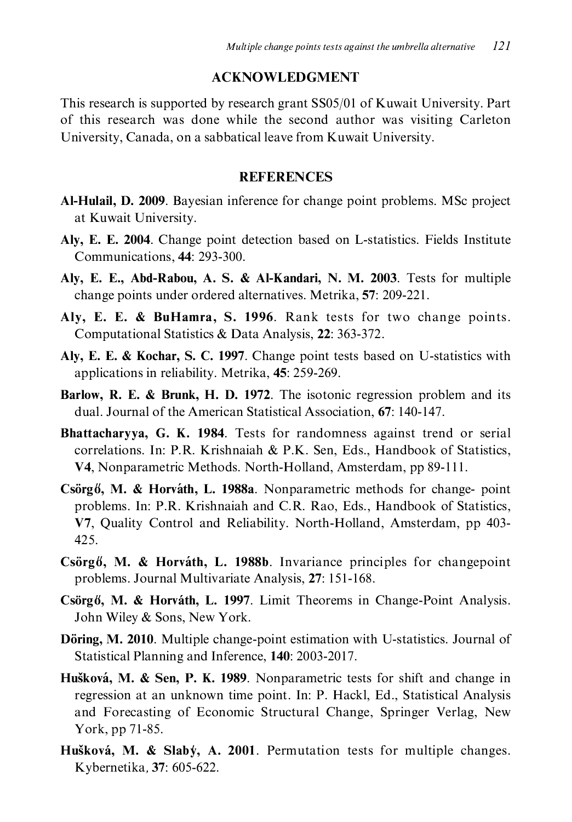#### **ACKNOWLEDGMENT**

This research is supported by research grant SS05/01 of Kuwait University. Part of this research was done while the second author was visiting Carleton University, Canada, on a sabbatical leave from Kuwait University.

#### **REFERENCES**

- **Al-Hulail, D. 2009**. Bayesian inference for change point problems. MSc project at Kuwait University.
- Aly, E. E. 2004. Change point detection based on L-statistics. Fields Institute Communications, 44: 293-300.
- Aly, E. E., Abd-Rabou, A. S. & Al-Kandari, N. M. 2003. Tests for multiple change points under ordered alternatives. Metrika, 57: 209-221.
- Aly, E. E. & BuHamra, S. 1996. Rank tests for two change points. Computational Statistics & Data Analysis, 22: 363-372.
- Aly, E. E. & Kochar, S. C. 1997. Change point tests based on U-statistics with applications in reliability. Metrika, 45: 259-269.
- Barlow, R. E. & Brunk, H. D. 1972. The isotonic regression problem and its dual. Journal of the American Statistical Association, 67: 140-147.
- Bhattacharyya, G. K. 1984. Tests for randomness against trend or serial correlations. In: P.R. Krishnaiah & P.K. Sen, Eds., Handbook of Statistics, V4, Nonparametric Methods. North-Holland, Amsterdam, pp 89-111.
- Csörg 6, M. & Horváth, L. 1988a. Nonparametric methods for change-point problems. In: P.R. Krishnaiah and C.R. Rao, Eds., Handbook of Statistics, V7, Quality Control and Reliability. North-Holland, Amsterdam, pp 403-425.
- $\sigma$  Csörgő, M. & Horváth, L. 1988b. Invariance principles for changepoint problems. Journal Multivariate Analysis, 27: 151-168.
- Csörgő, M. & Horváth, L. 1997. Limit Theorems in Change-Point Analysis. John Wiley & Sons, New York.
- **Döring, M. 2010.** Multiple change-point estimation with U-statistics. Journal of Statistical Planning and Inference, 140: 2003-2017.
- Hušková, M. & Sen, P. K. 1989. Nonparametric tests for shift and change in regression at an unknown time point. In: P. Hackl, Ed., Statistical Analysis and Forecasting of Economic Structural Change, Springer Verlag, New York, pp 71-85.
- Hušková, M. & Slaby, A. 2001. Permutation tests for multiple changes. Kybernetika, 37: 605-622.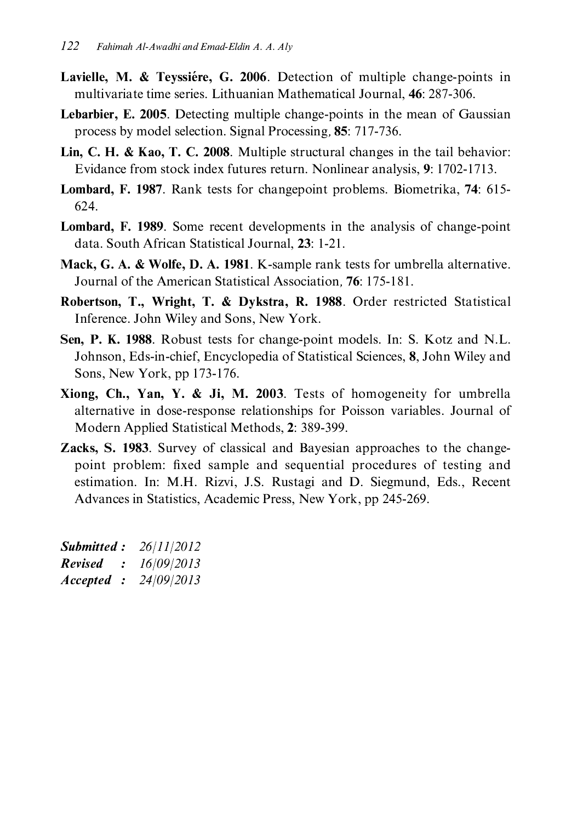- Lavielle, M. & Teyssiere, G. 2006. Detection of multiple change-points in multivariate time series. Lithuanian Mathematical Journal, 46: 287-306.
- **Lebarbier, E. 2005.** Detecting multiple change-points in the mean of Gaussian process by model selection. Signal Processing, 85: 717-736.
- Lin, C. H. & Kao, T. C. 2008. Multiple structural changes in the tail behavior: Evidance from stock index futures return. Nonlinear analysis, 9: 1702-1713.
- Lombard, F. 1987. Rank tests for changepoint problems. Biometrika, 74: 615-624.
- **Lombard, F. 1989.** Some recent developments in the analysis of change-point data. South African Statistical Journal, 23: 1-21.
- Mack, G. A. & Wolfe, D. A. 1981. K-sample rank tests for umbrella alternative. Journal of the American Statistical Association. 76: 175-181.
- Robertson, T., Wright, T. & Dykstra, R. 1988. Order restricted Statistical Inference. John Wiley and Sons, New York.
- Sen, P. K. 1988. Robust tests for change-point models. In: S. Kotz and N.L. Johnson, Eds-in-chief, Encyclopedia of Statistical Sciences, 8, John Wiley and Sons, New York, pp 173-176.
- Xiong, Ch., Yan, Y. & Ji, M. 2003. Tests of homogeneity for umbrella alternative in dose-response relationships for Poisson variables. Journal of Modern Applied Statistical Methods, 2: 389-399.
- **Zacks, S. 1983.** Survey of classical and Bayesian approaches to the changepoint problem: fixed sample and sequential procedures of testing and estimation. In: M.H. Rizvi, J.S. Rustagi and D. Siegmund, Eds., Recent Advances in Statistics, Academic Press, New York, pp 245-269.

| <b>Submitted :</b> |     | 26/11/2012 |
|--------------------|-----|------------|
| <b>Revised</b>     |     | 16/09/2013 |
| Accepted           | - 2 | 24/09/2013 |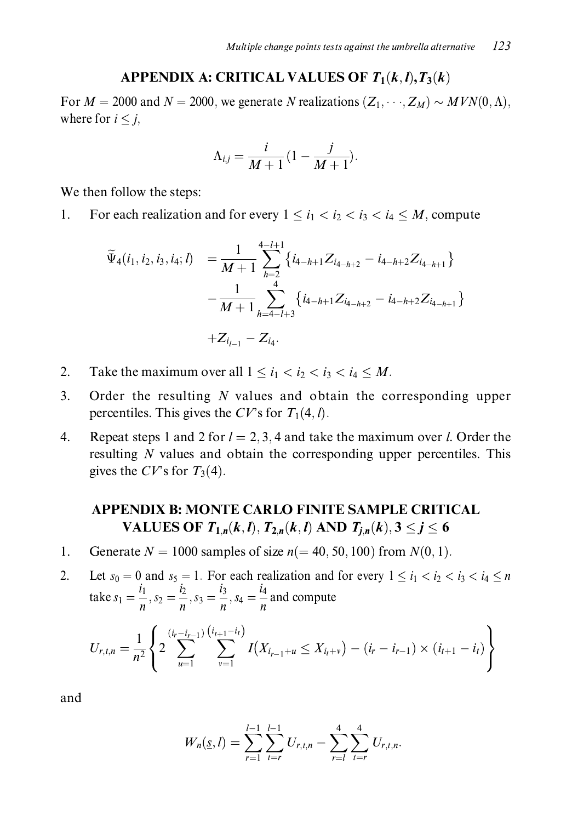### APPENDIX A: CRITICAL VALUES OF  $T_1(k, l), T_3(k)$

For  $M = 2000$  and  $N = 2000$ , we generate N realizations  $(Z_1, \dots, Z_M) \sim MVN(0, \Lambda)$ , where for  $i < j$ ,

$$
\Lambda_{i,j} = \frac{i}{M+1} \left(1 - \frac{j}{M+1}\right)
$$

We then follow the steps:

For each realization and for every  $1 \le i_1 < i_2 < i_3 < i_4 \le M$ , compute 1.

$$
\widetilde{\Psi}_{4}(i_{1},i_{2},i_{3},i_{4};l) = \frac{1}{M+1} \sum_{h=2}^{4-l+1} \left\{ i_{4-h+1} Z_{i_{4-h+2}} - i_{4-h+2} Z_{i_{4-h+1}} \right\} \n- \frac{1}{M+1} \sum_{h=4-l+3}^{4} \left\{ i_{4-h+1} Z_{i_{4-h+2}} - i_{4-h+2} Z_{i_{4-h+1}} \right\} \n+ Z_{i_{l-1}} - Z_{i_{4}}.
$$

- $\overline{2}$ . Take the maximum over all  $1 \le i_1 < i_2 < i_3 < i_4 \le M$ .
- Order the resulting  $N$  values and obtain the corresponding upper  $3.$ percentiles. This gives the CV's for  $T_1(4, l)$ .
- $\overline{4}$ . Repeat steps 1 and 2 for  $l = 2, 3, 4$  and take the maximum over *l*. Order the resulting  $N$  values and obtain the corresponding upper percentiles. This gives the CV's for  $T_3(4)$ .

## **APPENDIX B: MONTE CARLO FINITE SAMPLE CRITICAL** VALUES OF  $T_{1,n}(k,l)$ ,  $T_{2,n}(k,l)$  AND  $T_{i,n}(k)$ ,  $3 \le j \le 6$

Generate  $N = 1000$  samples of size  $n (= 40, 50, 100)$  from  $N(0, 1)$ .  $1<sub>1</sub>$ 

Let  $s_0 = 0$  and  $s_5 = 1$ . For each realization and for every  $1 \le i_1 < i_2 < i_3 < i_4 \le n$  $2.$ take  $s_1 = \frac{i_1}{n}$ ,  $s_2 = \frac{i_2}{n}$ ,  $s_3 = \frac{i_3}{n}$ ,  $s_4 = \frac{i_4}{n}$  and compute

$$
U_{r,t,n} = \frac{1}{n^2} \left\{ 2 \sum_{u=1}^{(i_r - i_{r-1})} \sum_{v=1}^{(i_{t+1} - i_l)} I(X_{i_{r-1}+u} \leq X_{i_{t}+v}) - (i_r - i_{r-1}) \times (i_{t+1} - i_t) \right\}
$$

and

$$
W_n(\underline{s},l)=\sum_{r=1}^{l-1}\sum_{t=r}^{l-1}U_{r,t,n}-\sum_{r=l}^{4}\sum_{t=r}^{4}U_{r,t,n}.
$$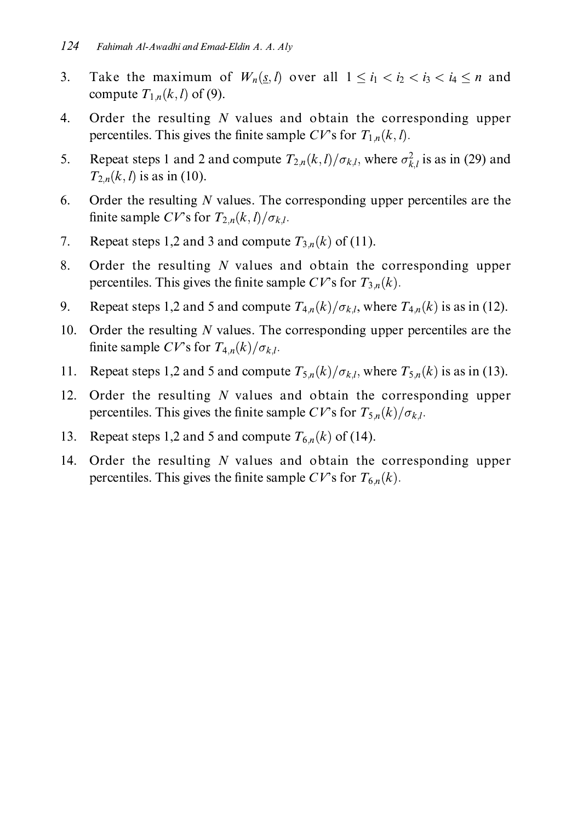- Take the maximum of  $W_n(s, l)$  over all  $1 \le i_1 < i_2 < i_3 < i_4 \le n$  and  $\overline{3}$ . compute  $T_{1,n}(k, l)$  of (9).
- Order the resulting  $N$  values and obtain the corresponding upper  $\overline{4}$ . percentiles. This gives the finite sample CV's for  $T_{1,n}(k, l)$ .
- Repeat steps 1 and 2 and compute  $T_{2,n}(k,l)/\sigma_{k,l}$ , where  $\sigma_{k,l}^2$  is as in (29) and 5.  $T_{2,n}(k, l)$  is as in (10).
- Order the resulting  $N$  values. The corresponding upper percentiles are the 6. finite sample CV's for  $T_{2n}(k, l)/\sigma_{k,l}$ .
- 7. Repeat steps 1,2 and 3 and compute  $T_{3,n}(k)$  of (11).
- 8. Order the resulting  $N$  values and obtain the corresponding upper percentiles. This gives the finite sample CV's for  $T_{3,n}(k)$ .
- Repeat steps 1,2 and 5 and compute  $T_{4n}(k)/\sigma_{k,l}$ , where  $T_{4n}(k)$  is as in (12). 9.
- $10.$ Order the resulting  $N$  values. The corresponding upper percentiles are the finite sample CV's for  $T_{4n}(k)/\sigma_{k,l}$ .
- Repeat steps 1,2 and 5 and compute  $T_{5n}(k)/\sigma_{k,l}$ , where  $T_{5n}(k)$  is as in (13). 11.
- Order the resulting  $N$  values and obtain the corresponding upper  $12.$ percentiles. This gives the finite sample CV's for  $T_{5n}(k)/\sigma_{k,l}$ .
- 13. Repeat steps 1,2 and 5 and compute  $T_{6n}(k)$  of (14).
- $14.$ Order the resulting  $N$  values and obtain the corresponding upper percentiles. This gives the finite sample CV's for  $T_{6n}(k)$ .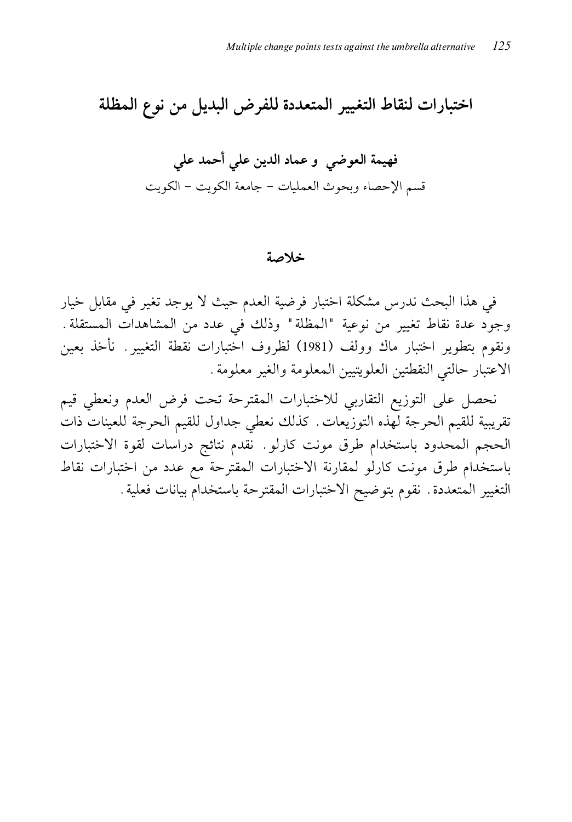اختبارات لنقاط التغيير المتعددة للفرض البديل من نوع المظلة

#### خلاصة

في هذا البحث ندرس مشكلة اختبار فرضية العدم حيث لا يوجد تغير في مقابل خيار وجود عدة نقاط تغيير من نوعية "المظلة" وذلك في عدد من المشاهدات المستقلة. ونقوم بتطوير اختبار ماك وولف (1981) لظروف اختبارات نقطة التغيير . نأخذ بعين الاعتبار حالتي النقطتين العلويتيين المعلومة والغير معلومة.

نحصل على التوزيع التقاربي للاختبارات المقترحة تحت فرض العدم ونعطى قيم تقريبية للقيم الحرجة لهذه التوزيعات. كذلك نعطى جداول للقيم الحرجة للعينات ذات الحجم المحدود باستخدام طرق مونت كارلو . نقدم نتائج دراسات لقوة الاختبارات باستخدام طرق مونت كارلو لمقارنة الاختبارات المقترحة مع عدد من اختبارات نقاط التغيير المتعددة . نقوم بتوضيح الاختبارات المقترحة باستخدام بيانات فعلية .